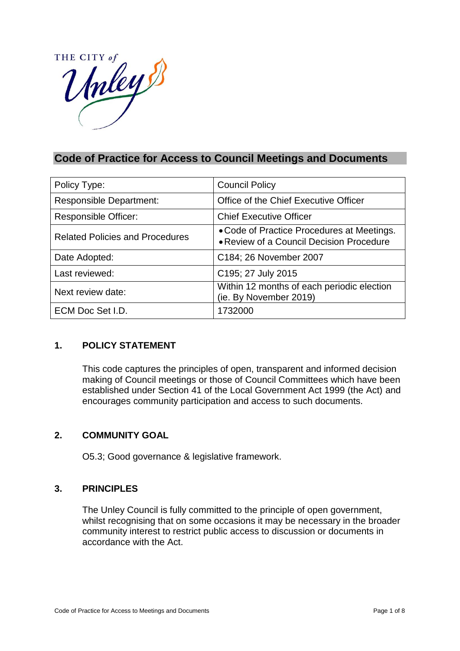

# **Code of Practice for Access to Council Meetings and Documents**

| Policy Type:                           | <b>Council Policy</b>                                                                  |
|----------------------------------------|----------------------------------------------------------------------------------------|
| <b>Responsible Department:</b>         | Office of the Chief Executive Officer                                                  |
| Responsible Officer:                   | <b>Chief Executive Officer</b>                                                         |
| <b>Related Policies and Procedures</b> | • Code of Practice Procedures at Meetings.<br>• Review of a Council Decision Procedure |
| Date Adopted:                          | C <sub>184</sub> ; 26 November 2007                                                    |
| Last reviewed:                         | C195; 27 July 2015                                                                     |
| Next review date:                      | Within 12 months of each periodic election<br>(ie. By November 2019)                   |
| ECM Doc Set I.D.                       | 1732000                                                                                |

### **1. POLICY STATEMENT**

This code captures the principles of open, transparent and informed decision making of Council meetings or those of Council Committees which have been established under Section 41 of the Local Government Act 1999 (the Act) and encourages community participation and access to such documents.

### **2. COMMUNITY GOAL**

O5.3; Good governance & legislative framework.

### **3. PRINCIPLES**

The Unley Council is fully committed to the principle of open government, whilst recognising that on some occasions it may be necessary in the broader community interest to restrict public access to discussion or documents in accordance with the Act.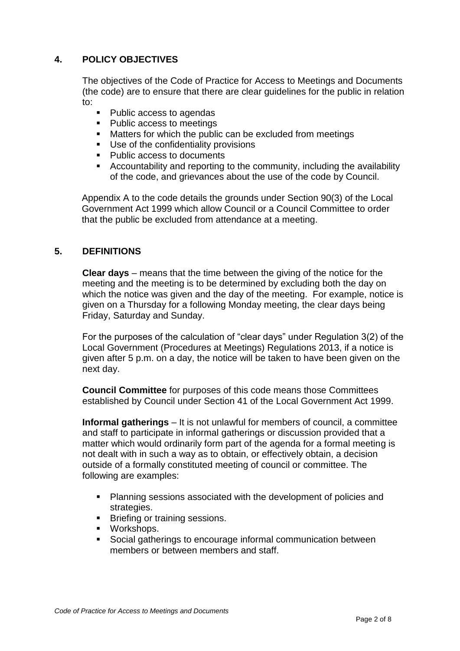# **4. POLICY OBJECTIVES**

The objectives of the Code of Practice for Access to Meetings and Documents (the code) are to ensure that there are clear guidelines for the public in relation to:

- Public access to agendas
- Public access to meetings
- **Matters for which the public can be excluded from meetings**
- Use of the confidentiality provisions
- Public access to documents
- Accountability and reporting to the community, including the availability of the code, and grievances about the use of the code by Council.

Appendix A to the code details the grounds under Section 90(3) of the Local Government Act 1999 which allow Council or a Council Committee to order that the public be excluded from attendance at a meeting.

### **5. DEFINITIONS**

**Clear days** – means that the time between the giving of the notice for the meeting and the meeting is to be determined by excluding both the day on which the notice was given and the day of the meeting. For example, notice is given on a Thursday for a following Monday meeting, the clear days being Friday, Saturday and Sunday.

For the purposes of the calculation of "clear days" under Regulation 3(2) of the Local Government (Procedures at Meetings) Regulations 2013, if a notice is given after 5 p.m. on a day, the notice will be taken to have been given on the next day.

**Council Committee** for purposes of this code means those Committees established by Council under Section 41 of the Local Government Act 1999.

**Informal gatherings** – It is not unlawful for members of council, a committee and staff to participate in informal gatherings or discussion provided that a matter which would ordinarily form part of the agenda for a formal meeting is not dealt with in such a way as to obtain, or effectively obtain, a decision outside of a formally constituted meeting of council or committee. The following are examples:

- Planning sessions associated with the development of policies and strategies.
- **Briefing or training sessions.**
- **•** Workshops.
- Social gatherings to encourage informal communication between members or between members and staff.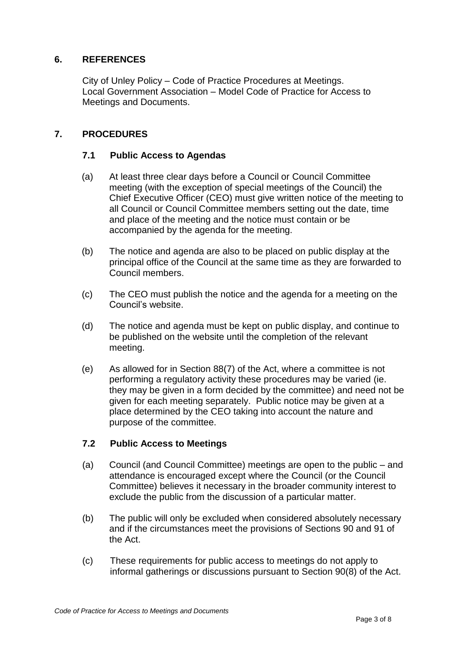### **6. REFERENCES**

City of Unley Policy – Code of Practice Procedures at Meetings. Local Government Association – Model Code of Practice for Access to Meetings and Documents.

### **7. PROCEDURES**

#### **7.1 Public Access to Agendas**

- (a) At least three clear days before a Council or Council Committee meeting (with the exception of special meetings of the Council) the Chief Executive Officer (CEO) must give written notice of the meeting to all Council or Council Committee members setting out the date, time and place of the meeting and the notice must contain or be accompanied by the agenda for the meeting.
- (b) The notice and agenda are also to be placed on public display at the principal office of the Council at the same time as they are forwarded to Council members.
- (c) The CEO must publish the notice and the agenda for a meeting on the Council's website.
- (d) The notice and agenda must be kept on public display, and continue to be published on the website until the completion of the relevant meeting.
- (e) As allowed for in Section 88(7) of the Act, where a committee is not performing a regulatory activity these procedures may be varied (ie. they may be given in a form decided by the committee) and need not be given for each meeting separately. Public notice may be given at a place determined by the CEO taking into account the nature and purpose of the committee.

### **7.2 Public Access to Meetings**

- (a) Council (and Council Committee) meetings are open to the public and attendance is encouraged except where the Council (or the Council Committee) believes it necessary in the broader community interest to exclude the public from the discussion of a particular matter.
- (b) The public will only be excluded when considered absolutely necessary and if the circumstances meet the provisions of Sections 90 and 91 of the Act.
- (c) These requirements for public access to meetings do not apply to informal gatherings or discussions pursuant to Section 90(8) of the Act.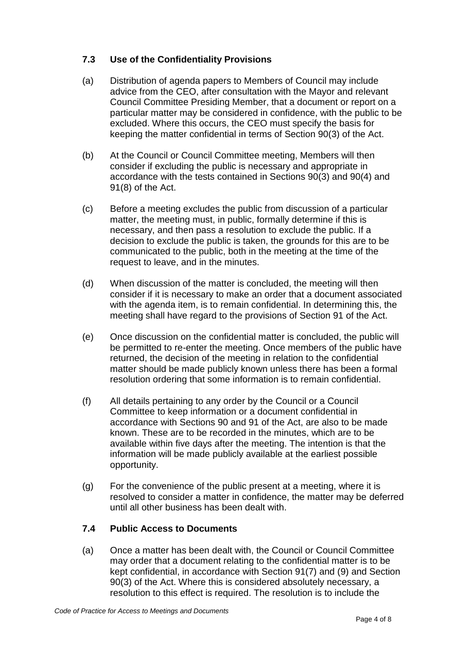## **7.3 Use of the Confidentiality Provisions**

- (a) Distribution of agenda papers to Members of Council may include advice from the CEO, after consultation with the Mayor and relevant Council Committee Presiding Member, that a document or report on a particular matter may be considered in confidence, with the public to be excluded. Where this occurs, the CEO must specify the basis for keeping the matter confidential in terms of Section 90(3) of the Act.
- (b) At the Council or Council Committee meeting, Members will then consider if excluding the public is necessary and appropriate in accordance with the tests contained in Sections 90(3) and 90(4) and 91(8) of the Act.
- (c) Before a meeting excludes the public from discussion of a particular matter, the meeting must, in public, formally determine if this is necessary, and then pass a resolution to exclude the public. If a decision to exclude the public is taken, the grounds for this are to be communicated to the public, both in the meeting at the time of the request to leave, and in the minutes.
- (d) When discussion of the matter is concluded, the meeting will then consider if it is necessary to make an order that a document associated with the agenda item, is to remain confidential. In determining this, the meeting shall have regard to the provisions of Section 91 of the Act.
- (e) Once discussion on the confidential matter is concluded, the public will be permitted to re-enter the meeting. Once members of the public have returned, the decision of the meeting in relation to the confidential matter should be made publicly known unless there has been a formal resolution ordering that some information is to remain confidential.
- (f) All details pertaining to any order by the Council or a Council Committee to keep information or a document confidential in accordance with Sections 90 and 91 of the Act, are also to be made known. These are to be recorded in the minutes, which are to be available within five days after the meeting. The intention is that the information will be made publicly available at the earliest possible opportunity.
- (g) For the convenience of the public present at a meeting, where it is resolved to consider a matter in confidence, the matter may be deferred until all other business has been dealt with.

## **7.4 Public Access to Documents**

(a) Once a matter has been dealt with, the Council or Council Committee may order that a document relating to the confidential matter is to be kept confidential, in accordance with Section 91(7) and (9) and Section 90(3) of the Act. Where this is considered absolutely necessary, a resolution to this effect is required. The resolution is to include the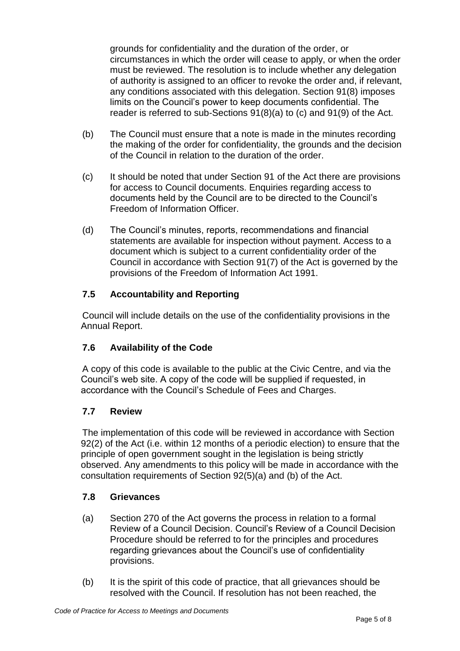grounds for confidentiality and the duration of the order, or circumstances in which the order will cease to apply, or when the order must be reviewed. The resolution is to include whether any delegation of authority is assigned to an officer to revoke the order and, if relevant, any conditions associated with this delegation. Section 91(8) imposes limits on the Council's power to keep documents confidential. The reader is referred to sub-Sections 91(8)(a) to (c) and 91(9) of the Act.

- (b) The Council must ensure that a note is made in the minutes recording the making of the order for confidentiality, the grounds and the decision of the Council in relation to the duration of the order.
- (c) It should be noted that under Section 91 of the Act there are provisions for access to Council documents. Enquiries regarding access to documents held by the Council are to be directed to the Council's Freedom of Information Officer.
- (d) The Council's minutes, reports, recommendations and financial statements are available for inspection without payment. Access to a document which is subject to a current confidentiality order of the Council in accordance with Section 91(7) of the Act is governed by the provisions of the Freedom of Information Act 1991.

# **7.5 Accountability and Reporting**

Council will include details on the use of the confidentiality provisions in the Annual Report.

## **7.6 Availability of the Code**

A copy of this code is available to the public at the Civic Centre, and via the Council's web site. A copy of the code will be supplied if requested, in accordance with the Council's Schedule of Fees and Charges.

## **7.7 Review**

The implementation of this code will be reviewed in accordance with Section 92(2) of the Act (i.e. within 12 months of a periodic election) to ensure that the principle of open government sought in the legislation is being strictly observed. Any amendments to this policy will be made in accordance with the consultation requirements of Section 92(5)(a) and (b) of the Act.

### **7.8 Grievances**

- (a) Section 270 of the Act governs the process in relation to a formal Review of a Council Decision. Council's Review of a Council Decision Procedure should be referred to for the principles and procedures regarding grievances about the Council's use of confidentiality provisions.
- (b) It is the spirit of this code of practice, that all grievances should be resolved with the Council. If resolution has not been reached, the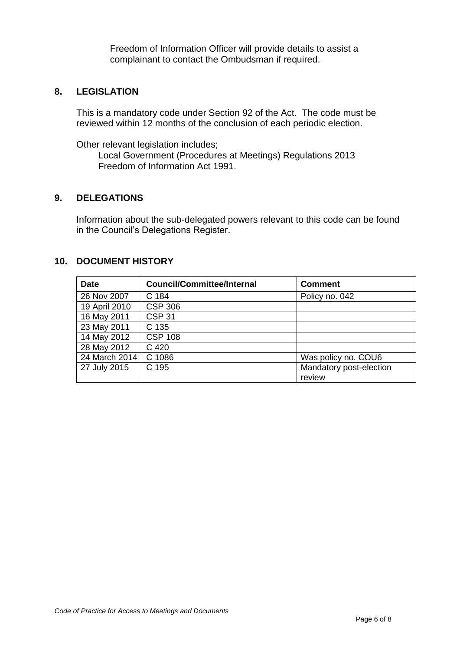Freedom of Information Officer will provide details to assist a complainant to contact the Ombudsman if required.

#### **8. LEGISLATION**

This is a mandatory code under Section 92 of the Act. The code must be reviewed within 12 months of the conclusion of each periodic election.

Other relevant legislation includes;

Local Government (Procedures at Meetings) Regulations 2013 Freedom of Information Act 1991.

#### **9. DELEGATIONS**

Information about the sub-delegated powers relevant to this code can be found in the Council's Delegations Register.

#### **10. DOCUMENT HISTORY**

| <b>Date</b>   | <b>Council/Committee/Internal</b> | <b>Comment</b>          |
|---------------|-----------------------------------|-------------------------|
| 26 Nov 2007   | C 184                             | Policy no. 042          |
| 19 April 2010 | <b>CSP 306</b>                    |                         |
| 16 May 2011   | <b>CSP 31</b>                     |                         |
| 23 May 2011   | C 135                             |                         |
| 14 May 2012   | <b>CSP 108</b>                    |                         |
| 28 May 2012   | C 420                             |                         |
| 24 March 2014 | C 1086                            | Was policy no. COU6     |
| 27 July 2015  | C 195                             | Mandatory post-election |
|               |                                   | review                  |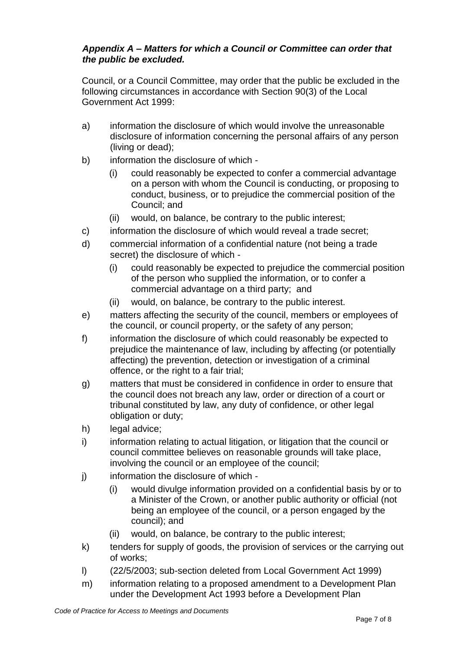### *Appendix A – Matters for which a Council or Committee can order that the public be excluded.*

Council, or a Council Committee, may order that the public be excluded in the following circumstances in accordance with Section 90(3) of the Local Government Act 1999:

- a) information the disclosure of which would involve the unreasonable disclosure of information concerning the personal affairs of any person (living or dead);
- b) information the disclosure of which
	- (i) could reasonably be expected to confer a commercial advantage on a person with whom the Council is conducting, or proposing to conduct, business, or to prejudice the commercial position of the Council; and
	- (ii) would, on balance, be contrary to the public interest;
- c) information the disclosure of which would reveal a trade secret;
- d) commercial information of a confidential nature (not being a trade secret) the disclosure of which -
	- (i) could reasonably be expected to prejudice the commercial position of the person who supplied the information, or to confer a commercial advantage on a third party; and
	- (ii) would, on balance, be contrary to the public interest.
- e) matters affecting the security of the council, members or employees of the council, or council property, or the safety of any person;
- f) information the disclosure of which could reasonably be expected to prejudice the maintenance of law, including by affecting (or potentially affecting) the prevention, detection or investigation of a criminal offence, or the right to a fair trial;
- g) matters that must be considered in confidence in order to ensure that the council does not breach any law, order or direction of a court or tribunal constituted by law, any duty of confidence, or other legal obligation or duty;
- h) legal advice;
- i) information relating to actual litigation, or litigation that the council or council committee believes on reasonable grounds will take place, involving the council or an employee of the council;
- j) information the disclosure of which -
	- (i) would divulge information provided on a confidential basis by or to a Minister of the Crown, or another public authority or official (not being an employee of the council, or a person engaged by the council); and
	- (ii) would, on balance, be contrary to the public interest;
- k) tenders for supply of goods, the provision of services or the carrying out of works;
- l) (22/5/2003; sub-section deleted from Local Government Act 1999)
- m) information relating to a proposed amendment to a Development Plan under the Development Act 1993 before a Development Plan